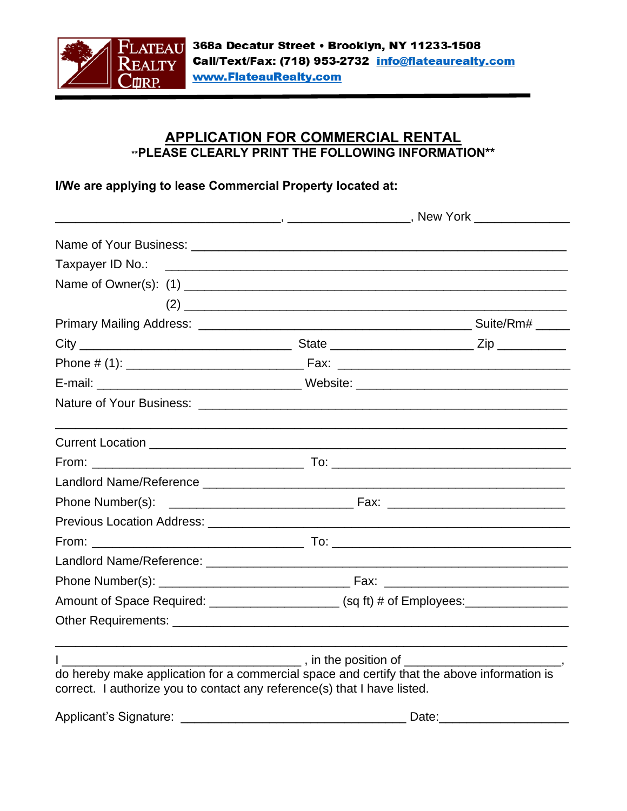

## **APPLICATION FOR COMMERCIAL RENTAL \*\*PLEASE CLEARLY PRINT THE FOLLOWING INFORMATION\*\***

## I/We are applying to lease Commercial Property located at:

|                                                                                                                                                                         | _________, _______________________, New York ________________                                                                                                                                                                                                                                                                                                                                                                                                                        |  |
|-------------------------------------------------------------------------------------------------------------------------------------------------------------------------|--------------------------------------------------------------------------------------------------------------------------------------------------------------------------------------------------------------------------------------------------------------------------------------------------------------------------------------------------------------------------------------------------------------------------------------------------------------------------------------|--|
|                                                                                                                                                                         |                                                                                                                                                                                                                                                                                                                                                                                                                                                                                      |  |
|                                                                                                                                                                         |                                                                                                                                                                                                                                                                                                                                                                                                                                                                                      |  |
|                                                                                                                                                                         |                                                                                                                                                                                                                                                                                                                                                                                                                                                                                      |  |
|                                                                                                                                                                         | $(2) \begin{tabular}{@{}c@{}} \hline \multicolumn{3}{c}{} & \multicolumn{3}{c}{} & \multicolumn{3}{c}{} \\ \multicolumn{3}{c}{} & \multicolumn{3}{c}{} & \multicolumn{3}{c}{} & \multicolumn{3}{c}{} \\ \multicolumn{3}{c}{} & \multicolumn{3}{c}{} & \multicolumn{3}{c}{} & \multicolumn{3}{c}{} \\ \multicolumn{3}{c}{} & \multicolumn{3}{c}{} & \multicolumn{3}{c}{} & \multicolumn{3}{c}{} \\ \multicolumn{3}{c}{} & \multicolumn{3}{c}{} & \multicolumn{3}{c}{} & \multicolumn$ |  |
|                                                                                                                                                                         |                                                                                                                                                                                                                                                                                                                                                                                                                                                                                      |  |
|                                                                                                                                                                         |                                                                                                                                                                                                                                                                                                                                                                                                                                                                                      |  |
|                                                                                                                                                                         |                                                                                                                                                                                                                                                                                                                                                                                                                                                                                      |  |
|                                                                                                                                                                         |                                                                                                                                                                                                                                                                                                                                                                                                                                                                                      |  |
|                                                                                                                                                                         |                                                                                                                                                                                                                                                                                                                                                                                                                                                                                      |  |
|                                                                                                                                                                         |                                                                                                                                                                                                                                                                                                                                                                                                                                                                                      |  |
|                                                                                                                                                                         |                                                                                                                                                                                                                                                                                                                                                                                                                                                                                      |  |
|                                                                                                                                                                         |                                                                                                                                                                                                                                                                                                                                                                                                                                                                                      |  |
|                                                                                                                                                                         |                                                                                                                                                                                                                                                                                                                                                                                                                                                                                      |  |
|                                                                                                                                                                         |                                                                                                                                                                                                                                                                                                                                                                                                                                                                                      |  |
|                                                                                                                                                                         |                                                                                                                                                                                                                                                                                                                                                                                                                                                                                      |  |
|                                                                                                                                                                         |                                                                                                                                                                                                                                                                                                                                                                                                                                                                                      |  |
|                                                                                                                                                                         |                                                                                                                                                                                                                                                                                                                                                                                                                                                                                      |  |
|                                                                                                                                                                         | Amount of Space Required: ______________________ (sq ft) # of Employees: ______________                                                                                                                                                                                                                                                                                                                                                                                              |  |
|                                                                                                                                                                         |                                                                                                                                                                                                                                                                                                                                                                                                                                                                                      |  |
|                                                                                                                                                                         |                                                                                                                                                                                                                                                                                                                                                                                                                                                                                      |  |
|                                                                                                                                                                         |                                                                                                                                                                                                                                                                                                                                                                                                                                                                                      |  |
| do hereby make application for a commercial space and certify that the above information is<br>correct. I authorize you to contact any reference(s) that I have listed. |                                                                                                                                                                                                                                                                                                                                                                                                                                                                                      |  |